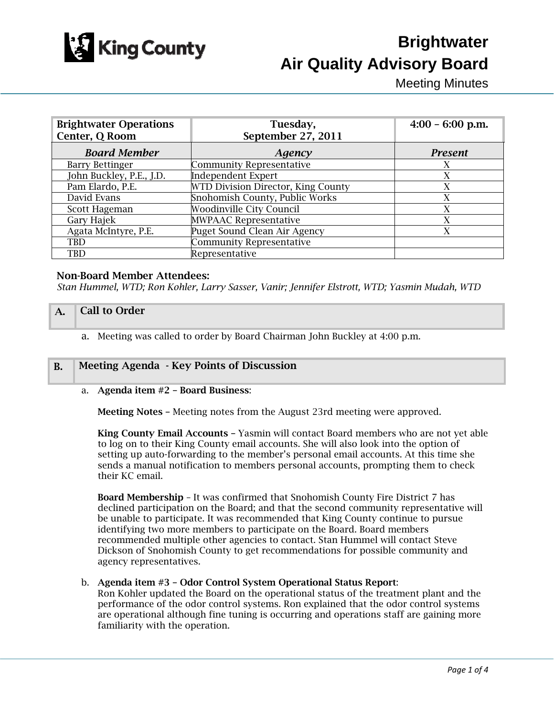

# **Brightwater Air Quality Advisory Board**

Meeting Minutes

| <b>Brightwater Operations</b><br>Center, Q Room | Tuesday,<br>September 27, 2011     | $4:00 - 6:00$ p.m. |
|-------------------------------------------------|------------------------------------|--------------------|
| <b>Board Member</b>                             | Agency                             | <b>Present</b>     |
| <b>Barry Bettinger</b>                          | <b>Community Representative</b>    | X                  |
| John Buckley, P.E., J.D.                        | <b>Independent Expert</b>          | X                  |
| Pam Elardo, P.E.                                | WTD Division Director, King County | X                  |
| David Evans                                     | Snohomish County, Public Works     | X                  |
| Scott Hageman                                   | <b>Woodinville City Council</b>    | X                  |
| Gary Hajek                                      | <b>MWPAAC Representative</b>       | X                  |
| Agata McIntyre, P.E.                            | Puget Sound Clean Air Agency       | X                  |
| TBD                                             | <b>Community Representative</b>    |                    |
| TBD                                             | Representative                     |                    |

## Non-Board Member Attendees:

*Stan Hummel, WTD; Ron Kohler, Larry Sasser, Vanir; Jennifer Elstrott, WTD; Yasmin Mudah, WTD* 

### A. Call to Order

a. Meeting was called to order by Board Chairman John Buckley at 4:00 p.m.

### B. Meeting Agenda - Key Points of Discussion

### a. Agenda item #2 – Board Business:

Meeting Notes – Meeting notes from the August 23rd meeting were approved.

King County Email Accounts – Yasmin will contact Board members who are not yet able to log on to their King County email accounts. She will also look into the option of setting up auto-forwarding to the member's personal email accounts. At this time she sends a manual notification to members personal accounts, prompting them to check their KC email.

Board Membership – It was confirmed that Snohomish County Fire District 7 has declined participation on the Board; and that the second community representative will be unable to participate. It was recommended that King County continue to pursue identifying two more members to participate on the Board. Board members recommended multiple other agencies to contact. Stan Hummel will contact Steve Dickson of Snohomish County to get recommendations for possible community and agency representatives.

### b. Agenda item #3 – Odor Control System Operational Status Report:

Ron Kohler updated the Board on the operational status of the treatment plant and the performance of the odor control systems. Ron explained that the odor control systems are operational although fine tuning is occurring and operations staff are gaining more familiarity with the operation.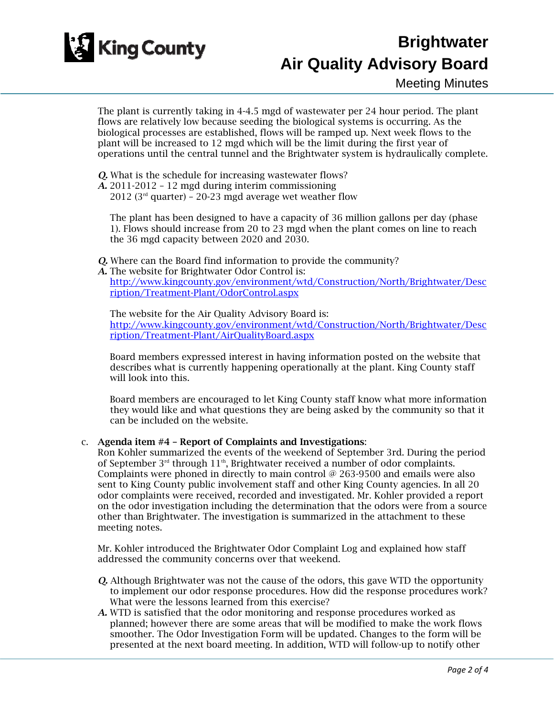

## **Brightwater Air Quality Advisory Board**

Meeting Minutes

The plant is currently taking in 4-4.5 mgd of wastewater per 24 hour period. The plant flows are relatively low because seeding the biological systems is occurring. As the biological processes are established, flows will be ramped up. Next week flows to the plant will be increased to 12 mgd which will be the limit during the first year of operations until the central tunnel and the Brightwater system is hydraulically complete.

*Q.* What is the schedule for increasing wastewater flows?

*A.* 2011-2012 – 12 mgd during interim commissioning

2012 ( $3<sup>rd</sup>$  quarter) – 20-23 mgd average wet weather flow

 The plant has been designed to have a capacity of 36 million gallons per day (phase 1). Flows should increase from 20 to 23 mgd when the plant comes on line to reach the 36 mgd capacity between 2020 and 2030.

- *Q.* Where can the Board find information to provide the community?
- *A.* The website for Brightwater Odor Control is: http://www.kingcounty.gov/environment/wtd/Construction/North/Brightwater/Desc ription/Treatment-Plant/OdorControl.aspx

The website for the Air Quality Advisory Board is: http://www.kingcounty.gov/environment/wtd/Construction/North/Brightwater/Desc ription/Treatment-Plant/AirQualityBoard.aspx

Board members expressed interest in having information posted on the website that describes what is currently happening operationally at the plant. King County staff will look into this.

Board members are encouraged to let King County staff know what more information they would like and what questions they are being asked by the community so that it can be included on the website.

## c. Agenda item #4 – Report of Complaints and Investigations:

Ron Kohler summarized the events of the weekend of September 3rd. During the period of September 3<sup>rd</sup> through 11<sup>th</sup>, Brightwater received a number of odor complaints. Complaints were phoned in directly to main control @ 263-9500 and emails were also sent to King County public involvement staff and other King County agencies. In all 20 odor complaints were received, recorded and investigated. Mr. Kohler provided a report on the odor investigation including the determination that the odors were from a source other than Brightwater. The investigation is summarized in the attachment to these meeting notes.

Mr. Kohler introduced the Brightwater Odor Complaint Log and explained how staff addressed the community concerns over that weekend.

- *Q.* Although Brightwater was not the cause of the odors, this gave WTD the opportunity to implement our odor response procedures. How did the response procedures work? What were the lessons learned from this exercise?
- *A.* WTD is satisfied that the odor monitoring and response procedures worked as planned; however there are some areas that will be modified to make the work flows smoother. The Odor Investigation Form will be updated. Changes to the form will be presented at the next board meeting. In addition, WTD will follow-up to notify other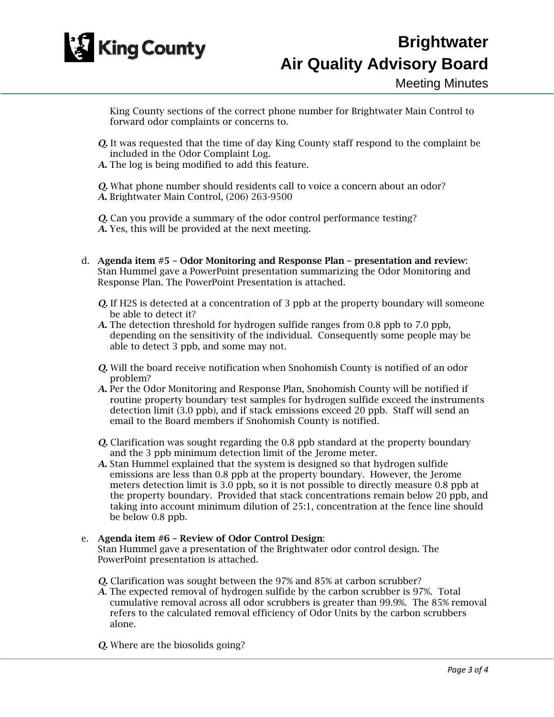

King County sections of the correct phone number for Brightwater Main Control to forward odor complaints or concerns to.

- *Q.* It was requested that the time of day King County staff respond to the complaint be included in the Odor Complaint Log.
- *A.* The log is being modified to add this feature.

*Q.* What phone number should residents call to voice a concern about an odor? *A.* Brightwater Main Control, (206) 263-9500

*Q.* Can you provide a summary of the odor control performance testing? *A.* Yes, this will be provided at the next meeting.

- d. Agenda item #5 Odor Monitoring and Response Plan presentation and review: Stan Hummel gave a PowerPoint presentation summarizing the Odor Monitoring and Response Plan. The PowerPoint Presentation is attached.
	- *Q.* If H2S is detected at a concentration of 3 ppb at the property boundary will someone be able to detect it?
	- *A.* The detection threshold for hydrogen sulfide ranges from 0.8 ppb to 7.0 ppb, depending on the sensitivity of the individual. Consequently some people may be able to detect 3 ppb, and some may not.
	- *Q.* Will the board receive notification when Snohomish County is notified of an odor problem?
	- *A.* Per the Odor Monitoring and Response Plan, Snohomish County will be notified if routine property boundary test samples for hydrogen sulfide exceed the instruments detection limit (3.0 ppb), and if stack emissions exceed 20 ppb. Staff will send an email to the Board members if Snohomish County is notified.
	- *Q.* Clarification was sought regarding the 0.8 ppb standard at the property boundary and the 3 ppb minimum detection limit of the Jerome meter.
	- *A.* Stan Hummel explained that the system is designed so that hydrogen sulfide emissions are less than 0.8 ppb at the property boundary. However, the Jerome meters detection limit is 3.0 ppb, so it is not possible to directly measure 0.8 ppb at the property boundary. Provided that stack concentrations remain below 20 ppb, and taking into account minimum dilution of 25:1, concentration at the fence line should be below 0.8 ppb.

## e. Agenda item #6 – Review of Odor Control Design:

Stan Hummel gave a presentation of the Brightwater odor control design. The PowerPoint presentation is attached.

- *Q.* Clarification was sought between the 97% and 85% at carbon scrubber?
- *A.* The expected removal of hydrogen sulfide by the carbon scrubber is 97%. Total cumulative removal across all odor scrubbers is greater than 99.9%. The 85% removal refers to the calculated removal efficiency of Odor Units by the carbon scrubbers alone.
- *Q.* Where are the biosolids going?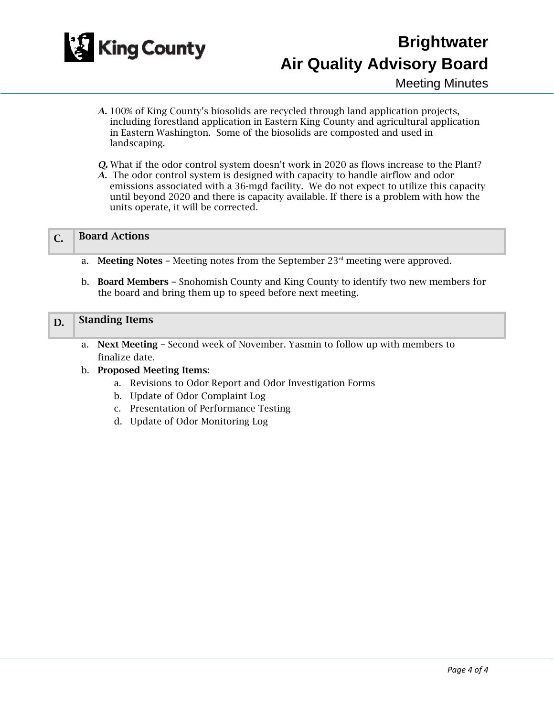

Meeting Minutes

- *A.* 100% of King County's biosolids are recycled through land application projects, including forestland application in Eastern King County and agricultural application in Eastern Washington. Some of the biosolids are composted and used in landscaping.
- *Q.* What if the odor control system doesn't work in 2020 as flows increase to the Plant?
- *A.* The odor control system is designed with capacity to handle airflow and odor emissions associated with a 36-mgd facility. We do not expect to utilize this capacity until beyond 2020 and there is capacity available. If there is a problem with how the units operate, it will be corrected.

| <b>Board Actions</b> |  |
|----------------------|--|
|----------------------|--|

- a. Meeting Notes Meeting notes from the September  $23<sup>rd</sup>$  meeting were approved.
- b. Board Members Snohomish County and King County to identify two new members for the board and bring them up to speed before next meeting.

### D. Standing Items

a. Next Meeting – Second week of November. Yasmin to follow up with members to finalize date.

### b. Proposed Meeting Items:

- a. Revisions to Odor Report and Odor Investigation Forms
- b. Update of Odor Complaint Log
- c. Presentation of Performance Testing
- d. Update of Odor Monitoring Log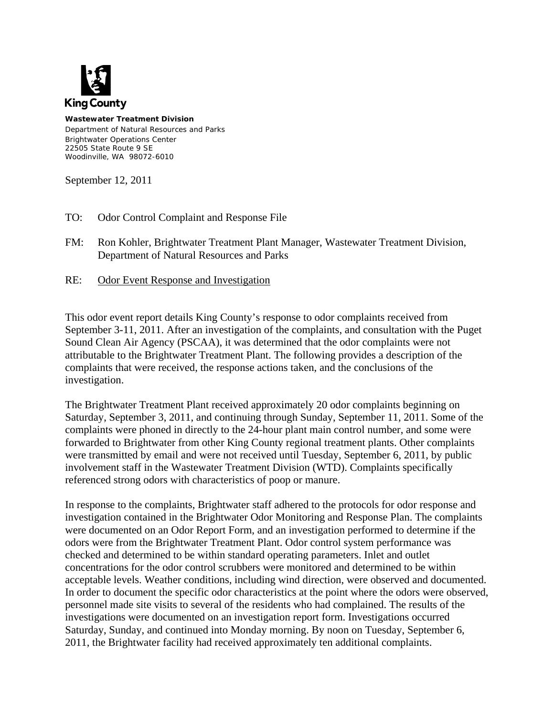

**Wastewater Treatment Division**  Department of Natural Resources and Parks Brightwater Operations Center 22505 State Route 9 SE Woodinville, WA 98072-6010

September 12, 2011

- TO: Odor Control Complaint and Response File
- FM: Ron Kohler, Brightwater Treatment Plant Manager, Wastewater Treatment Division, Department of Natural Resources and Parks
- RE: Odor Event Response and Investigation

This odor event report details King County's response to odor complaints received from September 3-11, 2011. After an investigation of the complaints, and consultation with the Puget Sound Clean Air Agency (PSCAA), it was determined that the odor complaints were not attributable to the Brightwater Treatment Plant. The following provides a description of the complaints that were received, the response actions taken, and the conclusions of the investigation.

The Brightwater Treatment Plant received approximately 20 odor complaints beginning on Saturday, September 3, 2011, and continuing through Sunday, September 11, 2011. Some of the complaints were phoned in directly to the 24-hour plant main control number, and some were forwarded to Brightwater from other King County regional treatment plants. Other complaints were transmitted by email and were not received until Tuesday, September 6, 2011, by public involvement staff in the Wastewater Treatment Division (WTD). Complaints specifically referenced strong odors with characteristics of poop or manure.

In response to the complaints, Brightwater staff adhered to the protocols for odor response and investigation contained in the Brightwater Odor Monitoring and Response Plan. The complaints were documented on an Odor Report Form, and an investigation performed to determine if the odors were from the Brightwater Treatment Plant. Odor control system performance was checked and determined to be within standard operating parameters. Inlet and outlet concentrations for the odor control scrubbers were monitored and determined to be within acceptable levels. Weather conditions, including wind direction, were observed and documented. In order to document the specific odor characteristics at the point where the odors were observed, personnel made site visits to several of the residents who had complained. The results of the investigations were documented on an investigation report form. Investigations occurred Saturday, Sunday, and continued into Monday morning. By noon on Tuesday, September 6, 2011, the Brightwater facility had received approximately ten additional complaints.